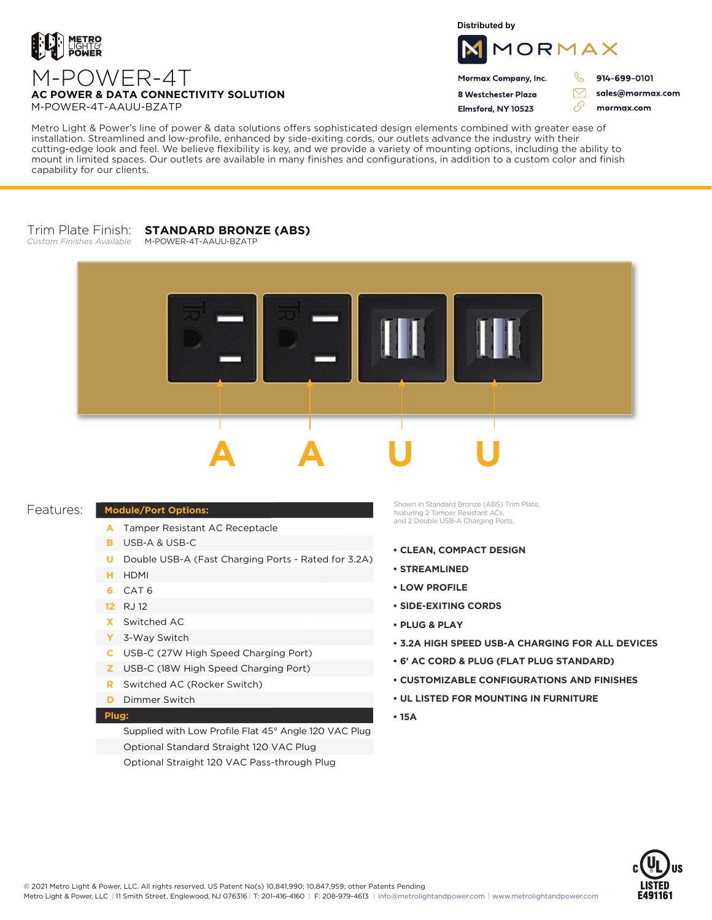

**Distributed by**



Mormax Company, Inc. 8 Westchester Plaza

914-699-0101

J.

 $\triangledown$ 

sales@mormax.com mormax.com

M-POWER-4T **AC POWER & DATA CONNECTIVITY SOLUTION** M-POWER-4T-AAUU-BZATP

Flmsford, NY 10523 وي

Metro Light & Power's line of power & data solutions offers sophisticated design elements combined with greater ease of installation. Streamlined and low-profile, enhanced by side-exiting cords, our outlets advance the industry with their cutting-edge look and feel. We believe flexibility is key, and we provide a variety of mounting options, including the ability to mount in limited spaces. Our outlets are available in many finishes and configurations, in addition to a custom color and finish capability for our clients.

## Trim Plate Finish: **STANDARD BRONZE (ABS)** *Custom Finishes Available*

M-POWER-4T-AAUU-BZATP



## Features:

## **Module/Port Options:**

- A Tamper Resistant AC Receptacle
- USB-A & USB-C **B**
- U Double USB-A (Fast Charging Ports Rated for 3.2A)
- HDMI **H**
- CAT 6 **6**
- 12 RJ 12
- Switched AC **X**
- 3-Way Switch **Y**
- USB-C (27W High Speed Charging Port) **C**
- USB-C (18W High Speed Charging Port) **Z**
- Switched AC (Rocker Switch) **R**
- **D** Dimmer Switch

## **Plug:**

Supplied with Low Profile Flat 45° Angle 120 VAC Plug Optional Standard Straight 120 VAC Plug Optional Straight 120 VAC Pass-through Plug

Shown in Standard Bronze (ABS) Trim Plate, featuring 2 Tamper Resistant ACs, and 2 Double USB-A Charging Ports.

- **CLEAN, COMPACT DESIGN**
- **STREAMLINED**
- **LOW PROFILE**
- **SIDE-EXITING CORDS**
- **PLUG & PLAY**
- **3.2A HIGH SPEED USB-A CHARGING FOR ALL DEVICES**
- **6' AC CORD & PLUG (FLAT PLUG STANDARD)**
- **CUSTOMIZABLE CONFIGURATIONS AND FINISHES**
- **UL LISTED FOR MOUNTING IN FURNITURE**
- **15A**